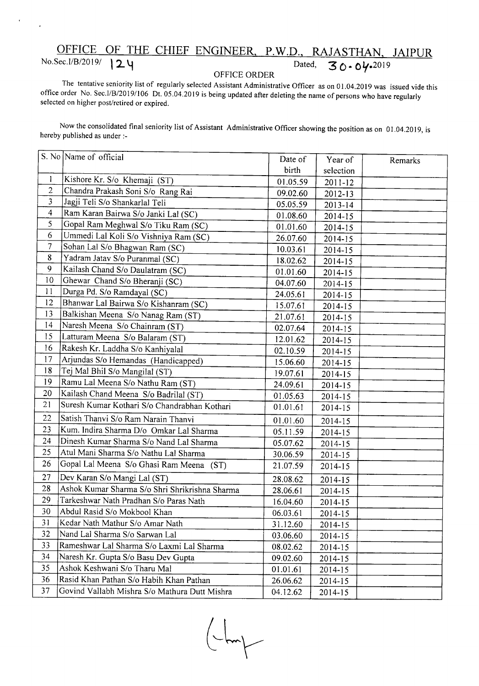## OFFICE OF THE CHIEF ENGINEER, P.W.D., RAJASTHAN, JAIPUR *No.Sec.I/B/2019*/ **24** *Dated, 30-04-2019*

## OFFICE ORDER

The tentative seniority list of regularly selected Assistant Administrative Officer as on 01.04.2019 was issued vide this office order No. Sec.I/B/2019/106 Dt. 05.04.2019 is being updated after deleting the name of persons who have regularly selected on higher post/retired or expired.

Now the consolidated final seniority list of Assistant Administrative Officer showing the position as on 01.04.2019, is hereby published as under :-

|                | S. No Name of official                         | Date of  | Year of     |         |
|----------------|------------------------------------------------|----------|-------------|---------|
|                |                                                | birth    | selection   | Remarks |
| 1              | Kishore Kr. S/o Khemaji (ST)                   | 01.05.59 | $2011 - 12$ |         |
| $\overline{2}$ | Chandra Prakash Soni S/o Rang Rai              | 09.02.60 | 2012-13     |         |
| 3              | Jagji Teli S/o Shankarlal Teli                 | 05.05.59 | 2013-14     |         |
| $\overline{4}$ | Ram Karan Bairwa S/o Janki Lal (SC)            | 01.08.60 | 2014-15     |         |
| 5              | Gopal Ram Meghwal S/o Tiku Ram (SC)            | 01.01.60 | 2014-15     |         |
| 6              | Ummedi Lal Koli S/o Vishniya Ram (SC)          | 26.07.60 | 2014-15     |         |
| $\overline{7}$ | Sohan Lal S/o Bhagwan Ram (SC)                 | 10.03.61 | 2014-15     |         |
| 8              | Yadram Jatav S/o Puranmal (SC)                 | 18.02.62 | 2014-15     |         |
| 9              | Kailash Chand S/o Daulatram (SC)               | 01.01.60 | 2014-15     |         |
| 10             | Ghewar Chand S/o Bheranji (SC)                 | 04.07.60 | 2014-15     |         |
| 11             | Durga Pd. S/o Ramdayal (SC)                    | 24.05.61 | 2014-15     |         |
| 12             | Bhanwar Lal Bairwa S/o Kishanram (SC)          | 15.07.61 | $2014 - 15$ |         |
| 13             | Balkishan Meena S/o Nanag Ram (ST)             | 21.07.61 | 2014-15     |         |
| 14             | Naresh Meena S/o Chainram (ST)                 | 02.07.64 | 2014-15     |         |
| 15             | Latturam Meena S/o Balaram (ST)                | 12.01.62 | 2014-15     |         |
| 16             | Rakesh Kr. Laddha S/o Kanhiyalal               | 02.10.59 | 2014-15     |         |
| 17             | Arjundas S/o Hemandas (Handicapped)            | 15.06.60 | 2014-15     |         |
| 18             | Tej Mal Bhil S/o Mangilal (ST)                 | 19.07.61 | 2014-15     |         |
| 19             | Ramu Lal Meena S/o Nathu Ram (ST)              | 24.09.61 | 2014-15     |         |
| 20             | Kailash Chand Meena S/o Badrilal (ST)          | 01.05.63 | 2014-15     |         |
| 21             | Suresh Kumar Kothari S/o Chandrabhan Kothari   | 01.01.61 | 2014-15     |         |
| 22             | Satish Thanvi S/o Ram Narain Thanvi            | 01.01.60 | 2014-15     |         |
| 23             | Kum. Indira Sharma D/o Omkar Lal Sharma        | 05.11.59 | 2014-15     |         |
| 24             | Dinesh Kumar Sharma S/o Nand Lal Sharma        | 05.07.62 | 2014-15     |         |
| 25             | Atul Mani Sharma S/o Nathu Lal Sharma          | 30.06.59 | 2014-15     |         |
| 26             | Gopal Lal Meena S/o Ghasi Ram Meena (ST)       | 21.07.59 | $2014 - 15$ |         |
| 27             | Dev Karan S/o Mangi Lal (ST)                   | 28.08.62 | 2014-15     |         |
| 28             | Ashok Kumar Sharma S/o Shri Shrikrishna Sharma | 28.06.61 | 2014-15     |         |
| 29             | Tarkeshwar Nath Pradhan S/o Paras Nath         | 16.04.60 | 2014-15     |         |
| 30             | Abdul Rasid S/o Mokbool Khan                   | 06.03.61 | 2014-15     |         |
| 31             | Kedar Nath Mathur S/o Amar Nath                | 31.12.60 | 2014-15     |         |
| 32             | Nand Lal Sharma S/o Sarwan Lal                 | 03.06.60 | 2014-15     |         |
| 33             | Rameshwar Lal Sharma S/o Laxmi Lal Sharma      | 08.02.62 | 2014-15     |         |
| 34             | Naresh Kr. Gupta S/o Basu Dev Gupta            | 09.02.60 | 2014-15     |         |
| 35             | Ashok Keshwani S/o Tharu Mal                   | 01.01.61 | $2014 - 15$ |         |
| 36             | Rasid Khan Pathan S/o Habih Khan Pathan        | 26.06.62 | 2014-15     |         |
| 37             | Govind Vallabh Mishra S/o Mathura Dutt Mishra  | 04.12.62 | 2014-15     |         |

 $\sqrt{m}$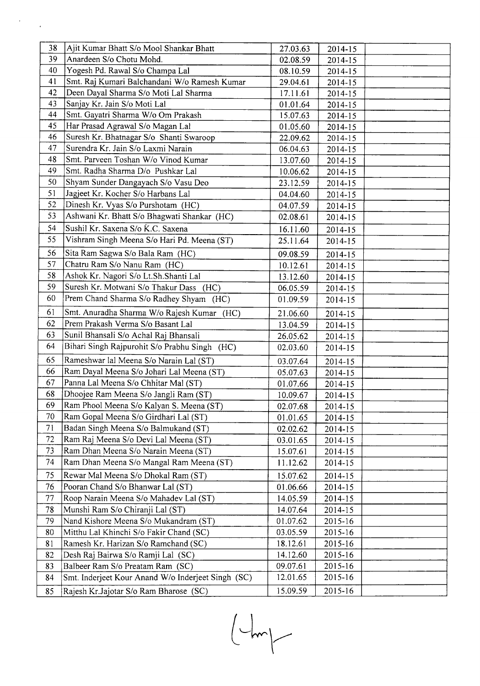| 38 | Ajit Kumar Bhatt S/o Mool Shankar Bhatt            | 27.03.63 | 2014-15     |  |
|----|----------------------------------------------------|----------|-------------|--|
| 39 | Anardeen S/o Chotu Mohd.                           | 02.08.59 | 2014-15     |  |
| 40 | Yogesh Pd. Rawal S/o Champa Lal                    | 08.10.59 | $2014 - 15$ |  |
| 41 | Smt. Raj Kumari Balchandani W/o Ramesh Kumar       | 29.04.61 | $2014 - 15$ |  |
| 42 | Deen Dayal Sharma S/o Moti Lal Sharma              | 17.11.61 | $2014 - 15$ |  |
| 43 | Sanjay Kr. Jain S/o Moti Lal                       | 01.01.64 | 2014-15     |  |
| 44 | Smt. Gayatri Sharma W/o Om Prakash                 | 15.07.63 | 2014-15     |  |
| 45 | Har Prasad Agrawal S/o Magan Lal                   | 01.05.60 | 2014-15     |  |
| 46 | Suresh Kr. Bhatnagar S/o Shanti Swaroop            | 22.09.62 | 2014-15     |  |
| 47 | Surendra Kr. Jain S/o Laxmi Narain                 | 06.04.63 | 2014-15     |  |
| 48 | Smt. Parveen Toshan W/o Vinod Kumar                | 13.07.60 | $2014 - 15$ |  |
| 49 | Smt. Radha Sharma D/o Pushkar Lal                  | 10.06.62 | $2014 - 15$ |  |
| 50 | Shyam Sunder Dangayach S/o Vasu Deo                | 23.12.59 | 2014-15     |  |
| 51 | Jagjeet Kr. Kocher S/o Harbans Lal                 | 04.04.60 | 2014-15     |  |
| 52 | Dinesh Kr. Vyas S/o Purshotam (HC)                 | 04.07.59 | 2014-15     |  |
| 53 | Ashwani Kr. Bhatt S/o Bhagwati Shankar (HC)        | 02.08.61 | 2014-15     |  |
| 54 | Sushil Kr. Saxena S/o K.C. Saxena                  | 16.11.60 | 2014-15     |  |
| 55 | Vishram Singh Meena S/o Hari Pd. Meena (ST)        | 25.11.64 | 2014-15     |  |
| 56 | Sita Ram Sagwa S/o Bala Ram (HC)                   | 09.08.59 | $2014 - 15$ |  |
| 57 | Chatru Ram S/o Nanu Ram (HC)                       | 10.12.61 | 2014-15     |  |
| 58 | Ashok Kr. Nagori S/o Lt.Sh.Shanti Lal              | 13.12.60 | $2014 - 15$ |  |
| 59 | Suresh Kr. Motwani S/o Thakur Dass (HC)            | 06.05.59 | $2014 - 15$ |  |
| 60 | Prem Chand Sharma S/o Radhey Shyam (HC)            | 01.09.59 | 2014-15     |  |
| 61 | Smt. Anuradha Sharma W/o Rajesh Kumar (HC)         | 21.06.60 | 2014-15     |  |
| 62 | Prem Prakash Verma S/o Basant Lal                  | 13.04.59 | 2014-15     |  |
| 63 | Sunil Bhansali S/o Achal Raj Bhansali              | 26.05.62 | 2014-15     |  |
| 64 | Bihari Singh Rajpurohit S/o Prabhu Singh (HC)      | 02.03.60 | 2014-15     |  |
| 65 | Rameshwar lal Meena S/o Narain Lal (ST)            | 03.07.64 | 2014-15     |  |
| 66 | Ram Dayal Meena S/o Johari Lal Meena (ST)          | 05.07.63 | 2014-15     |  |
| 67 | Panna Lal Meena S/o Chhitar Mal (ST)               | 01.07.66 | 2014-15     |  |
| 68 | Dhoojee Ram Meena S/o Jangli Ram (ST)              | 10.09.67 | 2014-15     |  |
| 69 | Ram Phool Meena S/o Kalyan S. Meena (ST)           | 02.07.68 | 2014-15     |  |
| 70 | Ram Gopal Meena S/o Girdhari Lal (ST)              | 01.01.65 | 2014-15     |  |
| 71 | Badan Singh Meena S/o Balmukand (ST)               | 02.02.62 | 2014-15     |  |
| 72 | Ram Raj Meena S/o Devi Lal Meena (ST)              | 03.01.65 | 2014-15     |  |
| 73 | Ram Dhan Meena S/o Narain Meena (ST)               | 15.07.61 | 2014-15     |  |
| 74 | Ram Dhan Meena S/o Mangal Ram Meena (ST)           | 11.12.62 | $2014 - 15$ |  |
| 75 | Rewar Mal Meena S/o Dhokal Ram (ST)                | 15.07.62 | 2014-15     |  |
| 76 | Pooran Chand S/o Bhanwar Lal (ST)                  | 01.06.66 | 2014-15     |  |
| 77 | Roop Narain Meena S/o Mahadev Lal (ST)             | 14.05.59 | 2014-15     |  |
| 78 | Munshi Ram S/o Chiranji Lal (ST)                   | 14.07.64 | 2014-15     |  |
| 79 | Nand Kishore Meena S/o Mukandram (ST)              | 01.07.62 | 2015-16     |  |
| 80 | Mitthu Lal Khinchi S/o Fakir Chand (SC)            | 03.05.59 | 2015-16     |  |
| 81 | Ramesh Kr. Harizan S/o Ramchand (SC)               | 18.12.61 | 2015-16     |  |
| 82 | Desh Raj Bairwa S/o Ramji Lal (SC)                 | 14.12.60 | 2015-16     |  |
| 83 | Balbeer Ram S/o Preatam Ram (SC)                   | 09.07.61 | 2015-16     |  |
| 84 | Smt. Inderjeet Kour Anand W/o Inderjeet Singh (SC) | 12.01.65 | 2015-16     |  |
| 85 | Rajesh Kr.Jajotar S/o Ram Bharose (SC)             | 15.09.59 | 2015-16     |  |

 $\mathcal{F}^{\text{max}}_{\text{max}}$ 

 $\begin{pmatrix} - & & & \\ & - & & \\ & & - & \\ & & - & \\ & & & - \end{pmatrix}$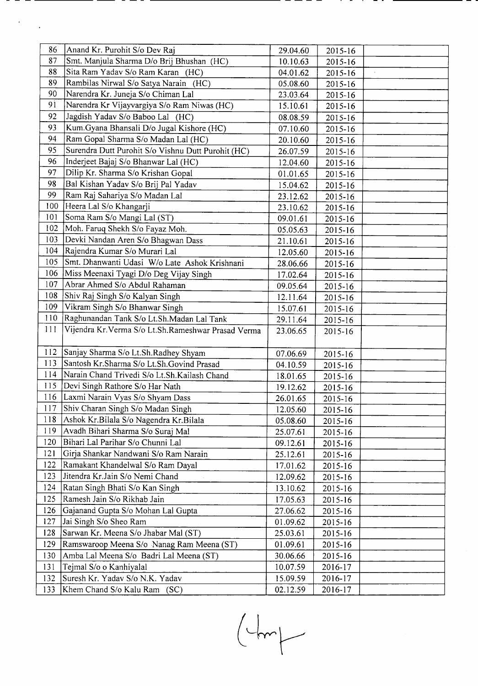| 86  | Anand Kr. Purohit S/o Dev Raj                         | 29.04.60 | 2015-16     |  |
|-----|-------------------------------------------------------|----------|-------------|--|
| 87  | Smt. Manjula Sharma D/o Brij Bhushan (HC)             | 10.10.63 | 2015-16     |  |
| 88  | Sita Ram Yadav S/o Ram Karan (HC)                     | 04.01.62 | 2015-16     |  |
| 89  | Rambilas Nirwal S/o Satya Narain (HC)                 | 05.08.60 | 2015-16     |  |
| 90  | Narendra Kr. Juneja S/o Chiman Lal                    | 23.03.64 | 2015-16     |  |
| 91  | Narendra Kr Vijayvargiya S/o Ram Niwas (HC)           | 15.10.61 | 2015-16     |  |
| 92  | Jagdish Yadav S/o Baboo Lal (HC)                      | 08.08.59 | 2015-16     |  |
| 93  | Kum.Gyana Bhansali D/o Jugal Kishore (HC)             | 07.10.60 | 2015-16     |  |
| 94  | Ram Gopal Sharma S/o Madan Lal (HC)                   | 20.10.60 | 2015-16     |  |
| 95  | Surendra Dutt Purohit S/o Vishnu Dutt Purohit (HC)    | 26.07.59 | $2015 - 16$ |  |
| 96  | Inderjeet Bajaj S/o Bhanwar Lal (HC)                  | 12.04.60 | 2015-16     |  |
| 97  | Dilip Kr. Sharma S/o Krishan Gopal                    | 01.01.65 | 2015-16     |  |
| 98  | Bal Kishan Yadav S/o Brij Pal Yadav                   | 15.04.62 | 2015-16     |  |
| 99  | Ram Raj Sahariya S/o Madan Lal                        | 23.12.62 | 2015-16     |  |
| 100 | Heera Lal S/o Khangarji                               | 23.10.62 | 2015-16     |  |
| 101 | Soma Ram S/o Mangi Lal (ST)                           | 09.01.61 | 2015-16     |  |
| 102 | Moh. Faruq Shekh S/o Fayaz Moh.                       | 05.05.63 | 2015-16     |  |
| 103 | Devki Nandan Aren S/o Bhagwan Dass                    | 21.10.61 | 2015-16     |  |
| 104 | Rajendra Kumar S/o Murari Lal                         | 12.05.60 | 2015-16     |  |
| 105 | Smt. Dhanwanti Udasi W/o Late Ashok Krishnani         | 28.06.66 | 2015-16     |  |
| 106 | Miss Meenaxi Tyagi D/o Deg Vijay Singh                | 17.02.64 | 2015-16     |  |
| 107 | Abrar Ahmed S/o Abdul Rahaman                         | 09.05.64 | 2015-16     |  |
| 108 | Shiv Raj Singh S/o Kalyan Singh                       | 12.11.64 | 2015-16     |  |
| 109 | Vikram Singh S/o Bhanwar Singh                        | 15.07.61 | 2015-16     |  |
| 110 | Raghunandan Tank S/o Lt.Sh.Madan Lal Tank             | 29.11.64 | 2015-16     |  |
| 111 | Vijendra Kr. Verma S/o Lt. Sh. Rameshwar Prasad Verma | 23.06.65 | 2015-16     |  |
|     |                                                       |          |             |  |
| 112 | Sanjay Sharma S/o Lt.Sh.Radhey Shyam                  | 07.06.69 | 2015-16     |  |
| 113 | Santosh Kr.Sharma S/o Lt.Sh.Govind Prasad             | 04.10.59 | 2015-16     |  |
| 114 | Narain Chand Trivedi S/o Lt.Sh.Kailash Chand          | 18.01.65 | 2015-16     |  |
| 115 | Devi Singh Rathore S/o Har Nath                       | 19.12.62 | 2015-16     |  |
| 116 | Laxmi Narain Vyas S/o Shyam Dass                      | 26.01.65 | 2015-16     |  |
| 117 | Shiv Charan Singh S/o Madan Singh                     | 12.05.60 | 2015-16     |  |
| 118 | Ashok Kr.Bilala S/o Nagendra Kr.Bilala                | 05.08.60 | $2015 - 16$ |  |
| 119 | Avadh Bihari Sharma S/o Suraj Mal                     | 25.07.61 | 2015-16     |  |
| 120 | Bihari Lal Parihar S/o Chunni Lal                     | 09.12.61 | 2015-16     |  |
| 121 | Girja Shankar Nandwani S/o Ram Narain                 | 25.12.61 | 2015-16     |  |
| 122 | Ramakant Khandelwal S/o Ram Dayal                     | 17.01.62 | 2015-16     |  |
| 123 | Jitendra Kr.Jain S/o Nemi Chand                       | 12.09.62 | 2015-16     |  |
| 124 | Ratan Singh Bhati S/o Kan Singh                       | 13.10.62 | 2015-16     |  |
| 125 | Ramesh Jain S/o Rikhab Jain                           | 17.05.63 | 2015-16     |  |
| 126 | Gajanand Gupta S/o Mohan Lal Gupta                    | 27.06.62 | $2015 - 16$ |  |
| 127 | Jai Singh S/o Sheo Ram                                | 01.09.62 | 2015-16     |  |
| 128 | Sarwan Kr. Meena S/o Jhabar Mal (ST)                  | 25.03.61 | 2015-16     |  |
| 129 | Ramswaroop Meena S/o Nanag Ram Meena (ST)             | 01.09.61 | 2015-16     |  |
| 130 | Amba Lal Meena S/o Badri Lal Meena (ST)               | 30.06.66 | 2015-16     |  |
| 131 | Tejmal S/o o Kanhiyalal                               | 10.07.59 | 2016-17     |  |
| 132 | Suresh Kr. Yadav S/o N.K. Yadav                       | 15.09.59 | 2016-17     |  |
| 133 | Khem Chand S/o Kalu Ram (SC)                          | 02.12.59 | 2016-17     |  |
|     |                                                       |          |             |  |

 $\mathcal{E}^{\text{max}}_{\text{max}}$ 

 $\begin{picture}(120,10) \put(0,0){\line(1,0){10}} \put(15,0){\line(1,0){10}} \put(15,0){\line(1,0){10}} \put(15,0){\line(1,0){10}} \put(15,0){\line(1,0){10}} \put(15,0){\line(1,0){10}} \put(15,0){\line(1,0){10}} \put(15,0){\line(1,0){10}} \put(15,0){\line(1,0){10}} \put(15,0){\line(1,0){10}} \put(15,0){\line(1,0){10}} \put(15,0){\line($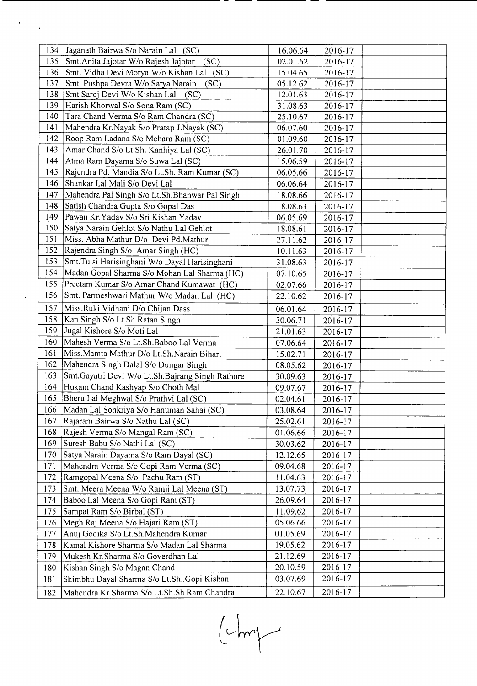| 134 | Jaganath Bairwa S/o Narain Lal (SC)              | 16.06.64 | 2016-17 |  |
|-----|--------------------------------------------------|----------|---------|--|
| 135 | Smt. Anita Jajotar W/o Rajesh Jajotar<br>(SC)    | 02.01.62 | 2016-17 |  |
| 136 | Smt. Vidha Devi Morya W/o Kishan Lal<br>(SC)     | 15.04.65 | 2016-17 |  |
| 137 | Smt. Pushpa Devra W/o Satya Narain<br>(SC)       | 05.12.62 | 2016-17 |  |
| 138 | Smt.Saroj Devi W/o Kishan Lal<br>(SC)            | 12.01.63 | 2016-17 |  |
| 139 | Harish Khorwal S/o Sona Ram (SC)                 | 31.08.63 | 2016-17 |  |
| 140 | Tara Chand Verma S/o Ram Chandra (SC)            | 25.10.67 | 2016-17 |  |
| 141 | Mahendra Kr.Nayak S/o Pratap J.Nayak (SC)        | 06.07.60 | 2016-17 |  |
| 142 | Roop Ram Ladana S/o Mehara Ram (SC)              | 01.09.60 | 2016-17 |  |
| 143 | Amar Chand S/o Lt.Sh. Kanhiya Lal (SC)           | 26.01.70 | 2016-17 |  |
| 144 | Atma Ram Dayama S/o Suwa Lal (SC)                | 15.06.59 | 2016-17 |  |
| 145 | Rajendra Pd. Mandia S/o Lt.Sh. Ram Kumar (SC)    | 06.05.66 | 2016-17 |  |
| 146 | Shankar Lal Mali S/o Devi Lal                    | 06.06.64 | 2016-17 |  |
| 147 | Mahendra Pal Singh S/o Lt.Sh.Bhanwar Pal Singh   | 18.08.66 | 2016-17 |  |
| 148 | Satish Chandra Gupta S/o Gopal Das               | 18.08.63 | 2016-17 |  |
| 149 | Pawan Kr. Yadav S/o Sri Kishan Yadav             | 06.05.69 | 2016-17 |  |
| 150 | Satya Narain Gehlot S/o Nathu Lal Gehlot         | 18.08.61 | 2016-17 |  |
| 151 | Miss. Abha Mathur D/o Devi Pd.Mathur             | 27.11.62 | 2016-17 |  |
| 152 | Rajendra Singh S/o Amar Singh (HC)               | 10.11.63 | 2016-17 |  |
| 153 | Smt. Tulsi Harisinghani W/o Dayal Harisinghani   | 31.08.63 | 2016-17 |  |
| 154 | Madan Gopal Sharma S/o Mohan Lal Sharma (HC)     | 07.10.65 | 2016-17 |  |
| 155 | Preetam Kumar S/o Amar Chand Kumawat (HC)        | 02.07.66 | 2016-17 |  |
| 156 | Smt. Parmeshwari Mathur W/o Madan Lal (HC)       | 22.10.62 | 2016-17 |  |
| 157 | Miss.Ruki Vidhani D/o Chijan Dass                | 06.01.64 | 2016-17 |  |
| 158 | Kan Singh S/o Lt.Sh.Ratan Singh                  | 30.06.71 | 2016-17 |  |
| 159 | Jugal Kishore S/o Moti Lal                       | 21.01.63 | 2016-17 |  |
| 160 | Mahesh Verma S/o Lt.Sh.Baboo Lal Verma           | 07.06.64 | 2016-17 |  |
| 161 | Miss. Mamta Mathur D/o Lt. Sh. Narain Bihari     | 15.02.71 | 2016-17 |  |
| 162 | Mahendra Singh Dalal S/o Dungar Singh            | 08.05.62 | 2016-17 |  |
| 163 | Smt.Gayatri Devi W/o Lt.Sh.Bajrang Singh Rathore | 30.09.63 | 2016-17 |  |
| 164 | Hukam Chand Kashyap S/o Choth Mal                | 09.07.67 | 2016-17 |  |
| 165 | Bheru Lal Meghwal S/o Prathvi Lal (SC)           | 02.04.61 | 2016-17 |  |
| 166 | Madan Lal Sonkriya S/o Hanuman Sahai (SC)        | 03.08.64 | 2016-17 |  |
| 167 | Rajaram Bairwa S/o Nathu Lal (SC)                | 25.02.61 | 2016-17 |  |
| 168 | Rajesh Verma S/o Mangal Ram (SC)                 | 01.06.66 | 2016-17 |  |
| 169 | Suresh Babu S/o Nathi Lal (SC)                   | 30.03.62 | 2016-17 |  |
| 170 | Satya Narain Dayama S/o Ram Dayal (SC)           | 12.12.65 | 2016-17 |  |
| 171 | Mahendra Verma S/o Gopi Ram Verma (SC)           | 09.04.68 | 2016-17 |  |
| 172 | Ramgopal Meena S/o Pachu Ram (ST)                | 11.04.63 | 2016-17 |  |
| 173 | Smt. Meera Meena W/o Ramji Lal Meena (ST)        | 13.07.73 | 2016-17 |  |
| 174 | Baboo Lal Meena S/o Gopi Ram (ST)                | 26.09.64 | 2016-17 |  |
| 175 | Sampat Ram S/o Birbal (ST)                       | 11.09.62 | 2016-17 |  |
| 176 | Megh Raj Meena S/o Hajari Ram (ST)               | 05.06.66 | 2016-17 |  |
| 177 | Anuj Godika S/o Lt.Sh.Mahendra Kumar             | 01.05.69 | 2016-17 |  |
| 178 | Kamal Kishore Sharma S/o Madan Lal Sharma        | 19.05.62 | 2016-17 |  |
| 179 | Mukesh Kr.Sharma S/o Goverdhan Lal               | 21.12.69 | 2016-17 |  |
| 180 | Kishan Singh S/o Magan Chand                     | 20.10.59 | 2016-17 |  |
| 181 | Shimbhu Dayal Sharma S/o Lt.ShGopi Kishan        | 03.07.69 | 2016-17 |  |
| 182 | Mahendra Kr.Sharma S/o Lt.Sh.Sh Ram Chandra      | 22.10.67 | 2016-17 |  |
|     |                                                  |          |         |  |

 $\mathcal{O}(\log n)$ 

 $\ddot{\phantom{0}}$ 

 $(Lm)$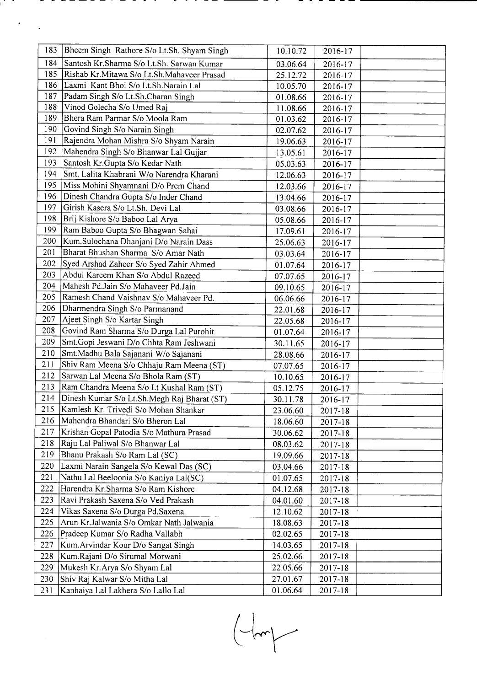|     | 183 Bheem Singh Rathore S/o Lt.Sh. Shyam Singh | 10.10.72 | 2016-17 |  |
|-----|------------------------------------------------|----------|---------|--|
| 184 | Santosh Kr.Sharma S/o Lt.Sh. Sarwan Kumar      | 03.06.64 | 2016-17 |  |
| 185 | Rishab Kr.Mitawa S/o Lt.Sh.Mahaveer Prasad     | 25.12.72 | 2016-17 |  |
| 186 | Laxmi Kant Bhoi S/o Lt.Sh.Narain Lal           | 10.05.70 | 2016-17 |  |
| 187 | Padam Singh S/o Lt.Sh.Charan Singh             | 01.08.66 | 2016-17 |  |
| 188 | Vinod Golecha S/o Umed Raj                     | 11.08.66 | 2016-17 |  |
| 189 | Bhera Ram Parmar S/o Moola Ram                 | 01.03.62 | 2016-17 |  |
| 190 | Govind Singh S/o Narain Singh                  | 02.07.62 | 2016-17 |  |
| 191 | Rajendra Mohan Mishra S/o Shyam Narain         | 19.06.63 | 2016-17 |  |
| 192 | Mahendra Singh S/o Bhanwar Lal Gujjar          | 13.05.61 | 2016-17 |  |
| 193 | Santosh Kr.Gupta S/o Kedar Nath                | 05.03.63 | 2016-17 |  |
| 194 | Smt. Lalita Khabrani W/o Narendra Kharani      | 12.06.63 | 2016-17 |  |
| 195 | Miss Mohini Shyamnani D/o Prem Chand           | 12.03.66 | 2016-17 |  |
| 196 | Dinesh Chandra Gupta S/o Inder Chand           | 13.04.66 | 2016-17 |  |
| 197 | Girish Kasera S/o Lt.Sh. Devi Lal              | 03.08.66 | 2016-17 |  |
| 198 | Brij Kishore S/o Baboo Lal Arya                | 05.08.66 | 2016-17 |  |
| 199 | Ram Baboo Gupta S/o Bhagwan Sahai              | 17.09.61 | 2016-17 |  |
| 200 | Kum.Sulochana Dhanjani D/o Narain Dass         | 25.06.63 | 2016-17 |  |
| 201 | Bharat Bhushan Sharma S/o Amar Nath            | 03.03.64 | 2016-17 |  |
| 202 | Syed Arshad Zaheer S/o Syed Zahir Ahmed        | 01.07.64 | 2016-17 |  |
| 203 | Abdul Kareem Khan S/o Abdul Razeed             | 07.07.65 | 2016-17 |  |
| 204 | Mahesh Pd.Jain S/o Mahaveer Pd.Jain            | 09.10.65 | 2016-17 |  |
| 205 | Ramesh Chand Vaishnav S/o Mahaveer Pd.         | 06.06.66 | 2016-17 |  |
| 206 | Dharmendra Singh S/o Parmanand                 | 22.01.68 | 2016-17 |  |
| 207 | Ajeet Singh S/o Kartar Singh                   | 22.05.68 | 2016-17 |  |
| 208 | Govind Ram Sharma S/o Durga Lal Purohit        | 01.07.64 | 2016-17 |  |
| 209 | Smt.Gopi Jeswani D/o Chhta Ram Jeshwani        | 30.11.65 | 2016-17 |  |
| 210 | Smt.Madhu Bala Sajanani W/o Sajanani           | 28.08.66 | 2016-17 |  |
| 211 | Shiv Ram Meena S/o Chhaju Ram Meena (ST)       | 07.07.65 | 2016-17 |  |
| 212 | Sarwan Lal Meena S/o Bhola Ram (ST)            | 10.10.65 | 2016-17 |  |
| 213 | Ram Chandra Meena S/o Lt Kushal Ram (ST)       | 05.12.75 | 2016-17 |  |
| 214 | Dinesh Kumar S/o Lt.Sh.Megh Raj Bharat (ST)    | 30.11.78 | 2016-17 |  |
| 215 | Kamlesh Kr. Trivedi S/o Mohan Shankar          | 23.06.60 | 2017-18 |  |
| 216 | Mahendra Bhandari S/o Bheron Lal               | 18.06.60 | 2017-18 |  |
| 217 | Krishan Gopal Patodia S/o Mathura Prasad       | 30.06.62 | 2017-18 |  |
| 218 | Raju Lal Paliwal S/o Bhanwar Lal               | 08.03.62 | 2017-18 |  |
| 219 | Bhanu Prakash S/o Ram Lal (SC)                 | 19.09.66 | 2017-18 |  |
| 220 | Laxmi Narain Sangela S/o Kewal Das (SC)        | 03.04.66 | 2017-18 |  |
| 221 | Nathu Lal Beeloonia S/o Kaniya Lal(SC)         | 01.07.65 | 2017-18 |  |
| 222 | Harendra Kr.Sharma S/o Ram Kishore             | 04.12.68 | 2017-18 |  |
| 223 | Ravi Prakash Saxena S/o Ved Prakash            | 04.01.60 | 2017-18 |  |
| 224 | Vikas Saxena S/o Durga Pd.Saxena               | 12.10.62 | 2017-18 |  |
| 225 | Arun Kr.Jalwania S/o Omkar Nath Jalwania       | 18.08.63 | 2017-18 |  |
| 226 | Pradeep Kumar S/o Radha Vallabh                | 02.02.65 | 2017-18 |  |
| 227 | Kum. Arvindar Kour D/o Sangat Singh            | 14.03.65 | 2017-18 |  |
| 228 | Kum.Rajani D/o Sirumal Morwani                 | 25.02.66 | 2017-18 |  |
| 229 | Mukesh Kr. Arya S/o Shyam Lal                  | 22.05.66 | 2017-18 |  |
| 230 | Shiv Raj Kalwar S/o Mitha Lal                  | 27.01.67 | 2017-18 |  |
| 231 | Kanhaiya Lal Lakhera S/o Lallo Lal             | 01.06.64 | 2017-18 |  |
|     |                                                |          |         |  |

 $\frac{1}{2} \sum_{i=1}^{n} \frac{1}{2} \sum_{j=1}^{n} \frac{1}{2} \sum_{j=1}^{n} \frac{1}{2} \sum_{j=1}^{n} \frac{1}{2} \sum_{j=1}^{n} \frac{1}{2} \sum_{j=1}^{n} \frac{1}{2} \sum_{j=1}^{n} \frac{1}{2} \sum_{j=1}^{n} \frac{1}{2} \sum_{j=1}^{n} \frac{1}{2} \sum_{j=1}^{n} \frac{1}{2} \sum_{j=1}^{n} \frac{1}{2} \sum_{j=1}^{n} \frac{1}{2} \sum_{j=1}^{n$  $\ddot{\phantom{0}}$ 

 $\begin{picture}(22,10) \put(0,0){\line(1,0){10}} \put(15,0){\line(1,0){10}} \put(15,0){\line(1,0){10}} \put(15,0){\line(1,0){10}} \put(15,0){\line(1,0){10}} \put(15,0){\line(1,0){10}} \put(15,0){\line(1,0){10}} \put(15,0){\line(1,0){10}} \put(15,0){\line(1,0){10}} \put(15,0){\line(1,0){10}} \put(15,0){\line(1,0){10}} \put(15,0){\line(1$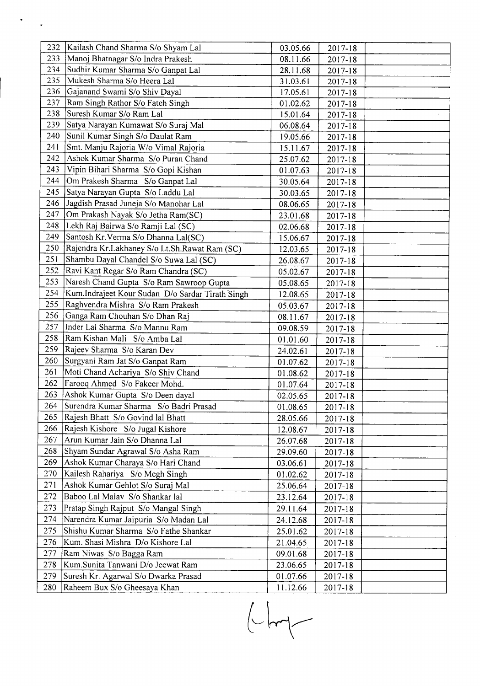| 232 | Kailash Chand Sharma S/o Shyam Lal               | 03.05.66 | 2017-18     |  |
|-----|--------------------------------------------------|----------|-------------|--|
| 233 | Manoj Bhatnagar S/o Indra Prakesh                | 08.11.66 | 2017-18     |  |
| 234 | Sudhir Kumar Sharma S/o Ganpat Lal               | 28.11.68 | 2017-18     |  |
| 235 | Mukesh Sharma S/o Heera Lal                      | 31.03.61 | 2017-18     |  |
| 236 | Gajanand Swami S/o Shiv Dayal                    | 17.05.61 | $2017 - 18$ |  |
| 237 | Ram Singh Rathor S/o Fateh Singh                 | 01.02.62 | 2017-18     |  |
| 238 | Suresh Kumar S/o Ram Lal                         | 15.01.64 | 2017-18     |  |
| 239 | Satya Narayan Kumawat S/o Suraj Mal              | 06.08.64 | 2017-18     |  |
| 240 | Sunil Kumar Singh S/o Daulat Ram                 | 19.05.66 | 2017-18     |  |
| 241 | Smt. Manju Rajoria W/o Vimal Rajoria             | 15.11.67 | 2017-18     |  |
| 242 | Ashok Kumar Sharma S/o Puran Chand               | 25.07.62 | 2017-18     |  |
| 243 | Vipin Bihari Sharma S/o Gopi Kishan              | 01.07.63 | 2017-18     |  |
| 244 | Om Prakesh Sharma S/o Ganpat Lal                 | 30.05.64 | 2017-18     |  |
| 245 | Satya Narayan Gupta S/o Laddu Lal                | 30.03.65 | 2017-18     |  |
| 246 | Jagdish Prasad Juneja S/o Manohar Lal            | 08.06.65 | 2017-18     |  |
| 247 | Om Prakash Nayak S/o Jetha Ram(SC)               | 23.01.68 | $2017 - 18$ |  |
| 248 | Lekh Raj Bairwa S/o Ramji Lal (SC)               | 02.06.68 | 2017-18     |  |
| 249 | Santosh Kr. Verma S/o Dhanna Lal(SC)             | 15.06.67 | 2017-18     |  |
| 250 | Rajendra Kr.Lakhaney S/o Lt.Sh.Rawat Ram (SC)    | 12.03.65 | 2017-18     |  |
| 251 | Shambu Dayal Chandel S/o Suwa Lal (SC)           | 26.08.67 | 2017-18     |  |
| 252 | Ravi Kant Regar S/o Ram Chandra (SC)             | 05.02.67 | 2017-18     |  |
| 253 | Naresh Chand Gupta S/o Ram Sawroop Gupta         | 05.08.65 | 2017-18     |  |
| 254 | Kum.Indrajeet Kour Sudan D/o Sardar Tirath Singh | 12.08.65 | 2017-18     |  |
| 255 | Raghvendra Mishra S/o Ram Prakesh                | 05.03.67 | 2017-18     |  |
| 256 | Ganga Ram Chouhan S/o Dhan Raj                   | 08.11.67 | 2017-18     |  |
| 257 | Inder Lal Sharma S/o Mannu Ram                   | 09.08.59 | 2017-18     |  |
| 258 | Ram Kishan Mali S/o Amba Lal                     | 01.01.60 | 2017-18     |  |
| 259 | Rajeev Sharma S/o Karan Dev                      | 24.02.61 | 2017-18     |  |
| 260 | Surgyani Ram Jat S/o Ganpat Ram                  | 01.07.62 | 2017-18     |  |
| 261 | Moti Chand Achariya S/o Shiv Chand               | 01.08.62 | 2017-18     |  |
| 262 | Farooq Ahmed S/o Fakeer Mohd.                    | 01.07.64 | 2017-18     |  |
| 263 | Ashok Kumar Gupta S/o Deen dayal                 | 02.05.65 | 2017-18     |  |
| 264 | Surendra Kumar Sharma S/o Badri Prasad           | 01.08.65 | 2017-18     |  |
| 265 | Rajesh Bhatt S/o Govind lal Bhatt                | 28.05.66 | 2017-18     |  |
| 266 | Rajesh Kishore S/o Jugal Kishore                 | 12.08.67 | 2017-18     |  |
| 267 | Arun Kumar Jain S/o Dhanna Lal                   | 26.07.68 | 2017-18     |  |
| 268 | Shyam Sundar Agrawal S/o Asha Ram                | 29.09.60 | 2017-18     |  |
| 269 | Ashok Kumar Charaya S/o Hari Chand               | 03.06.61 | 2017-18     |  |
| 270 | Kailesh Rahariya S/o Megh Singh                  | 01.02.62 | 2017-18     |  |
| 271 | Ashok Kumar Gehlot S/o Suraj Mal                 | 25.06.64 | $2017 - 18$ |  |
| 272 | Baboo Lal Malav S/o Shankar lal                  | 23.12.64 | 2017-18     |  |
| 273 | Pratap Singh Rajput S/o Mangal Singh             | 29.11.64 | 2017-18     |  |
| 274 | Narendra Kumar Jaipuria S/o Madan Lal            | 24.12.68 | 2017-18     |  |
| 275 | Shishu Kumar Sharma S/o Fathe Shankar            | 25.01.62 | 2017-18     |  |
| 276 | Kum. Shasi Mishra D/o Kishore Lal                | 21.04.65 | 2017-18     |  |
| 277 | Ram Niwas S/o Bagga Ram                          | 09.01.68 | 2017-18     |  |
| 278 | Kum.Sunita Tanwani D/o Jeewat Ram                | 23.06.65 | 2017-18     |  |
| 279 | Suresh Kr. Agarwal S/o Dwarka Prasad             | 01.07.66 | $2017 - 18$ |  |
| 280 | Raheem Bux S/o Gheesaya Khan                     | 11.12.66 | 2017-18     |  |

 $\frac{1}{2} \int_{0}^{2\pi} \frac{1}{\sqrt{2}} \, \mathrm{d} \mu \, \mathrm{d} \mu \, \mathrm{d} \mu \, \mathrm{d} \mu \, \mathrm{d} \mu \, \mathrm{d} \mu \, \mathrm{d} \mu \, \mathrm{d} \mu \, \mathrm{d} \mu \, \mathrm{d} \mu \, \mathrm{d} \mu \, \mathrm{d} \mu \, \mathrm{d} \mu \, \mathrm{d} \mu \, \mathrm{d} \mu \, \mathrm{d} \mu \, \mathrm{d} \mu \, \mathrm{d} \mu \, \mathrm{d} \mu \, \mathrm{d} \mu \, \mathrm{d} \mu \, \mathrm$